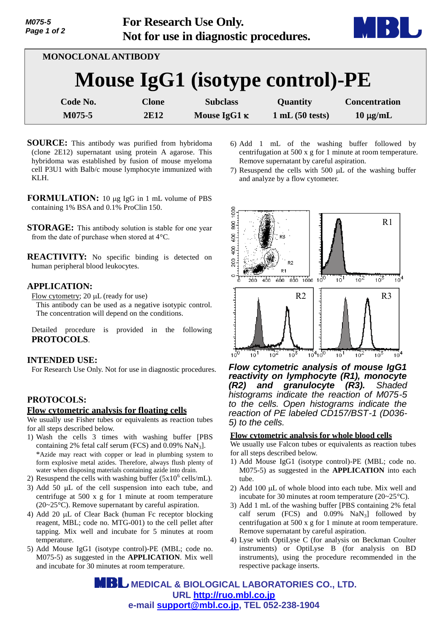

| MONOCLONAL ANTIBODY             |                      |                                        |                            |                                       |  |
|---------------------------------|----------------------|----------------------------------------|----------------------------|---------------------------------------|--|
| Mouse IgG1 (isotype control)-PE |                      |                                        |                            |                                       |  |
| Code No.<br>M075-5              | <b>Clone</b><br>2E12 | <b>Subclass</b><br>Mouse IgG1 $\kappa$ | Quantity<br>1 mL(50 tests) | <b>Concentration</b><br>$10 \mu g/mL$ |  |

- **SOURCE:** This antibody was purified from hybridoma (clone 2E12) supernatant using protein A agarose. This hybridoma was established by fusion of mouse myeloma cell P3U1 with Balb/c mouse lymphocyte immunized with KLH.
- **FORMULATION:** 10 µg IgG in 1 mL volume of PBS containing 1% BSA and 0.1% ProClin 150.
- **STORAGE:** This antibody solution is stable for one year from the date of purchase when stored at 4°C.
- **REACTIVITY:** No specific binding is detected on human peripheral blood leukocytes.

# **APPLICATION:**

Flow cytometry;  $20 \mu L$  (ready for use)

This antibody can be used as a negative isotypic control. The concentration will depend on the conditions.

Detailed procedure is provided in the following **PROTOCOLS**.

### **INTENDED USE:**

For Research Use Only. Not for use in diagnostic procedures.

## **PROTOCOLS:**

### **Flow cytometric analysis for floating cells**

We usually use Fisher tubes or equivalents as reaction tubes for all steps described below.

- 1) Wash the cells 3 times with washing buffer [PBS containing 2% fetal calf serum (FCS) and  $0.09\%$  NaN<sub>3</sub>]. \*Azide may react with copper or lead in plumbing system to form explosive metal azides. Therefore, always flush plenty of water when disposing materials containing azide into drain.
- 2) Resuspend the cells with washing buffer  $(5x10^6 \text{ cells/mL})$ .
- 3) Add 50  $\mu$ L of the cell suspension into each tube, and centrifuge at 500 x g for 1 minute at room temperature (20~25°C). Remove supernatant by careful aspiration.
- 4) Add 20  $\mu$ L of Clear Back (human Fc receptor blocking reagent, MBL; code no. MTG-001) to the cell pellet after tapping. Mix well and incubate for 5 minutes at room temperature.
- 5) Add Mouse IgG1 (isotype control)-PE (MBL; code no. M075-5) as suggested in the **APPLICATION**. Mix well and incubate for 30 minutes at room temperature.
- 6) Add 1 mL of the washing buffer followed by centrifugation at 500 x g for 1 minute at room temperature. Remove supernatant by careful aspiration.
- 7) Resuspend the cells with  $500 \mu L$  of the washing buffer and analyze by a flow cytometer.



*Flow cytometric analysis of mouse IgG1 reactivity on lymphocyte (R1), monocyte (R2) and granulocyte (R3). Shaded histograms indicate the reaction of M075-5 to the cells. Open histograms indicate the reaction of PE labeled CD157/BST-1 (D036- 5) to the cells.* 

## **Flow cytometric analysis for whole blood cells**

We usually use Falcon tubes or equivalents as reaction tubes for all steps described below.

- 1) Add Mouse IgG1 (isotype control)-PE (MBL; code no. M075-5) as suggested in the **APPLICATION** into each tube.
- 2) Add 100  $\mu$ L of whole blood into each tube. Mix well and incubate for 30 minutes at room temperature (20~25°C).
- 3) Add 1 mL of the washing buffer [PBS containing 2% fetal calf serum (FCS) and  $0.09\%$  NaN<sub>3</sub>] followed by centrifugation at 500 x g for 1 minute at room temperature. Remove supernatant by careful aspiration.
- 4) Lyse with OptiLyse C (for analysis on Beckman Coulter instruments) or OptiLyse B (for analysis on BD instruments), using the procedure recommended in the respective package inserts.

 **MEDICAL & BIOLOGICAL LABORATORIES CO., LTD. URL [http://ruo.mbl.co.jp](http://ruo.mbl.co.jp/) e-mail [support@mbl.co.jp,](support@mbl.co.jp) TEL 052-238-1904**